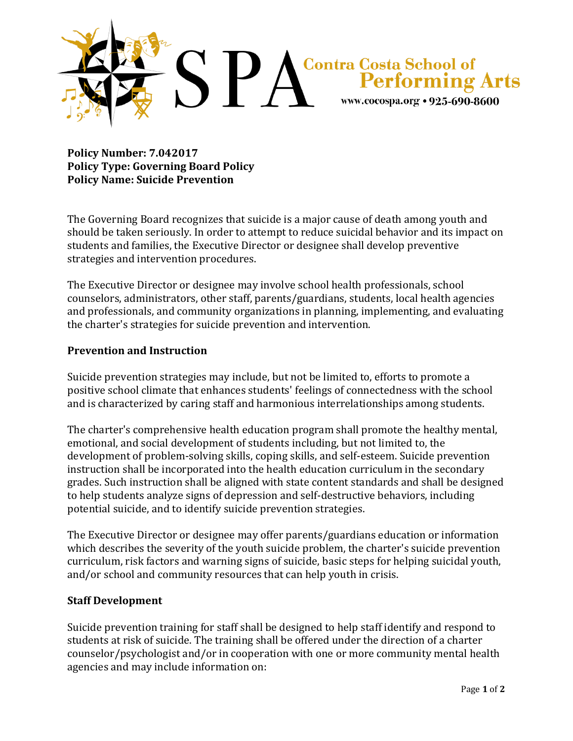

**Policy Number: 7.042017 Policy Type: Governing Board Policy Policy Name: Suicide Prevention**

The Governing Board recognizes that suicide is a major cause of death among youth and should be taken seriously. In order to attempt to reduce suicidal behavior and its impact on students and families, the Executive Director or designee shall develop preventive strategies and intervention procedures.

The Executive Director or designee may involve school health professionals, school counselors, administrators, other staff, parents/guardians, students, local health agencies and professionals, and community organizations in planning, implementing, and evaluating the charter's strategies for suicide prevention and intervention.

## **Prevention and Instruction**

Suicide prevention strategies may include, but not be limited to, efforts to promote a positive school climate that enhances students' feelings of connectedness with the school and is characterized by caring staff and harmonious interrelationships among students.

The charter's comprehensive health education program shall promote the healthy mental, emotional, and social development of students including, but not limited to, the development of problem-solving skills, coping skills, and self-esteem. Suicide prevention instruction shall be incorporated into the health education curriculum in the secondary grades. Such instruction shall be aligned with state content standards and shall be designed to help students analyze signs of depression and self-destructive behaviors, including potential suicide, and to identify suicide prevention strategies.

The Executive Director or designee may offer parents/guardians education or information which describes the severity of the youth suicide problem, the charter's suicide prevention curriculum, risk factors and warning signs of suicide, basic steps for helping suicidal youth, and/or school and community resources that can help youth in crisis.

## **Staff Development**

Suicide prevention training for staff shall be designed to help staff identify and respond to students at risk of suicide. The training shall be offered under the direction of a charter counselor/psychologist and/or in cooperation with one or more community mental health agencies and may include information on: